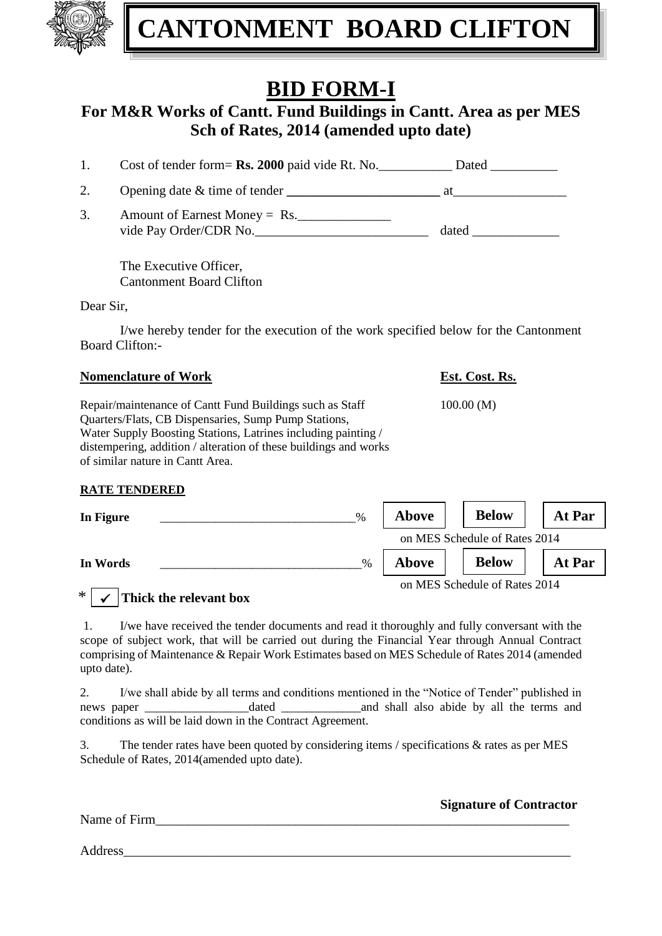

# **BID FORM-I**

## **For M&R Works of Cantt. Fund Buildings in Cantt. Area as per MES Sch of Rates, 2014 (amended upto date)**

| 1.        | Cost of tender form= Rs. 2000 paid vide Rt. No.           |                                                                                                                                                                                                                                |
|-----------|-----------------------------------------------------------|--------------------------------------------------------------------------------------------------------------------------------------------------------------------------------------------------------------------------------|
| 2.        | Opening date $\&$ time of tender $\qquad \qquad$          | at the contract of the contract of the contract of the contract of the contract of the contract of the contract of the contract of the contract of the contract of the contract of the contract of the contract of the contrac |
| 3.        | Amount of Earnest Money = Rs.<br>vide Pay Order/CDR No.   |                                                                                                                                                                                                                                |
|           | The Executive Officer,<br><b>Cantonment Board Clifton</b> |                                                                                                                                                                                                                                |
| Dear Sir, |                                                           |                                                                                                                                                                                                                                |

I/we hereby tender for the execution of the work specified below for the Cantonment Board Clifton:-

### **Nomenclature of Work Est. Cost. Rs.**

Repair/maintenance of Cantt Fund Buildings such as Staff 100.00 (M) Quarters/Flats, CB Dispensaries, Sump Pump Stations, Water Supply Boosting Stations, Latrines including painting / distempering, addition / alteration of these buildings and works of similar nature in Cantt Area.

### **RATE TENDERED**

| In Figure<br>$\frac{0}{0}$ | <b>Above</b> | <b>Below</b>                  | At Par |
|----------------------------|--------------|-------------------------------|--------|
|                            |              | on MES Schedule of Rates 2014 |        |
| In Words<br>$\%$           | <b>Above</b> | <b>Below</b>                  | At Par |
| $\ast$                     |              | on MES Schedule of Rates 2014 |        |

## $*$   $\checkmark$   $\checkmark$  Thick the relevant box

1. I/we have received the tender documents and read it thoroughly and fully conversant with the scope of subject work, that will be carried out during the Financial Year through Annual Contract comprising of Maintenance & Repair Work Estimates based on MES Schedule of Rates 2014 (amended upto date).

2. I/we shall abide by all terms and conditions mentioned in the "Notice of Tender" published in news paper \_\_\_\_\_\_\_\_\_\_\_\_\_\_\_\_\_dated \_\_\_\_\_\_\_\_\_\_\_\_\_and shall also abide by all the terms and conditions as will be laid down in the Contract Agreement.

3. The tender rates have been quoted by considering items / specifications & rates as per MES Schedule of Rates, 2014(amended upto date).

| <b>Signature of Contractor</b> |
|--------------------------------|
|                                |
|                                |

Address\_\_\_\_\_\_\_\_\_\_\_\_\_\_\_\_\_\_\_\_\_\_\_\_\_\_\_\_\_\_\_\_\_\_\_\_\_\_\_\_\_\_\_\_\_\_\_\_\_\_\_\_\_\_\_\_\_\_\_\_\_\_\_\_\_\_\_

Name of Firm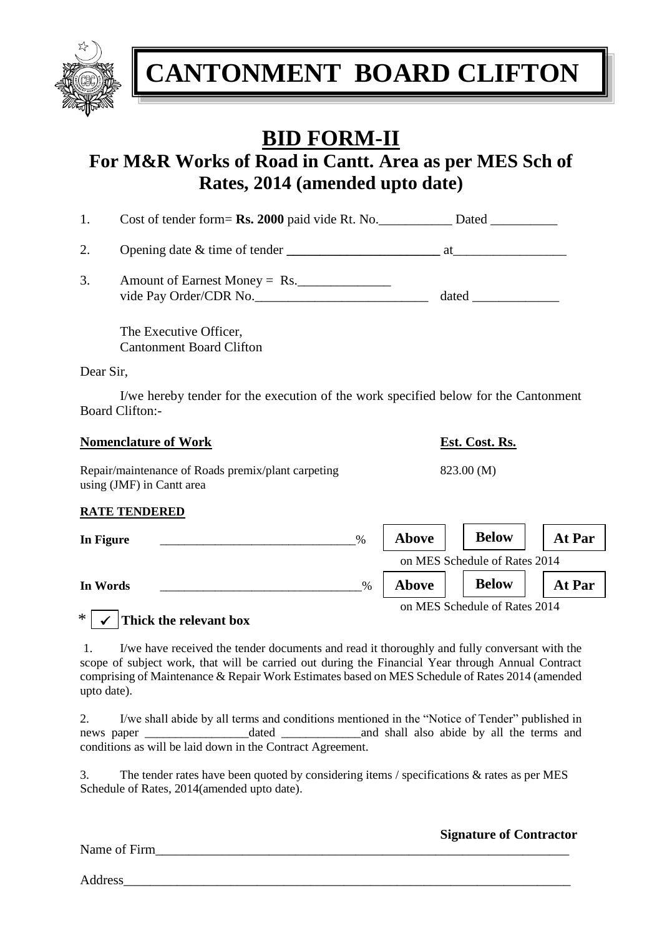

# **BID FORM-II**

## **For M&R Works of Road in Cantt. Area as per MES Sch of Rates, 2014 (amended upto date)**

| Cost of tender form= Rs. 2000 paid vide Rt. No. | Dated |
|-------------------------------------------------|-------|
|-------------------------------------------------|-------|

2. Opening date & time of tender **\_\_\_\_\_\_\_\_\_\_\_\_\_\_\_\_\_\_\_\_\_\_\_** at\_\_\_\_\_\_\_\_\_\_\_\_\_\_\_\_\_

3. Amount of Earnest Money =  $\text{Rs.}$ vide Pay Order/CDR No.\_\_\_\_\_\_\_\_\_\_\_\_\_\_\_\_\_\_\_\_\_\_\_\_\_\_\_\_\_\_\_\_\_\_ dated \_\_\_\_\_\_\_\_\_\_\_\_\_\_\_\_\_

The Executive Officer, Cantonment Board Clifton

Dear Sir,

I/we hereby tender for the execution of the work specified below for the Cantonment Board Clifton:-

| <b>Nomenclature of Work</b>                                                     |      |              | Est. Cost. Rs. |        |
|---------------------------------------------------------------------------------|------|--------------|----------------|--------|
| Repair/maintenance of Roads premix/plant carpeting<br>using (JMF) in Cantt area |      |              | 823.00 (M)     |        |
| <b>RATE TENDERED</b>                                                            |      |              |                |        |
| In Figure                                                                       | $\%$ | <b>Above</b> | <b>Below</b>   | At Par |

|          |      | on MES Schedule of Rates 2014 |                               |        |
|----------|------|-------------------------------|-------------------------------|--------|
| In Words | $\%$ | Above                         | <b>Below</b>                  | At Par |
|          |      |                               | on MES Schedule of Rates 2014 |        |

## $*$   $\checkmark$   $\checkmark$  Thick the relevant box

1. I/we have received the tender documents and read it thoroughly and fully conversant with the scope of subject work, that will be carried out during the Financial Year through Annual Contract comprising of Maintenance & Repair Work Estimates based on MES Schedule of Rates 2014 (amended upto date).

2. I/we shall abide by all terms and conditions mentioned in the "Notice of Tender" published in news paper and shall also abide by all the terms and shall also abide by all the terms and conditions as will be laid down in the Contract Agreement.

3. The tender rates have been quoted by considering items / specifications & rates as per MES Schedule of Rates, 2014(amended upto date).

Name of Firm\_\_\_\_\_\_\_\_\_\_\_\_\_\_\_\_\_\_\_\_\_\_\_\_\_\_\_\_\_\_\_\_\_\_\_\_\_\_\_\_\_\_\_\_\_\_\_\_\_\_\_\_\_\_\_\_\_\_\_\_\_\_

**Signature of Contractor**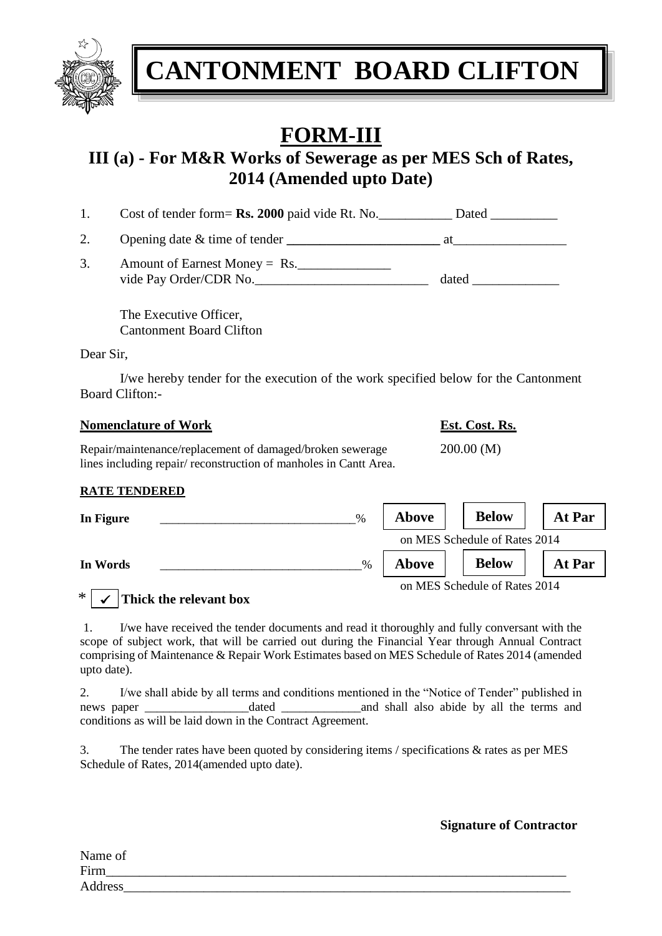

# **FORM-III**

## **III (a) - For M&R Works of Sewerage as per MES Sch of Rates, 2014 (Amended upto Date)**

| Cost of tender form= Rs. 2000 paid vide Rt. No. | Dated |
|-------------------------------------------------|-------|
|-------------------------------------------------|-------|

2. Opening date  $\&$  time of tender  $\qquad \qquad$  **at** 

3. Amount of Earnest Money =  $Rs$ . vide Pay Order/CDR No.\_\_\_\_\_\_\_\_\_\_\_\_\_\_\_\_\_\_\_\_\_\_\_\_\_\_ dated \_\_\_\_\_\_\_\_\_\_\_\_\_

The Executive Officer, Cantonment Board Clifton

Dear Sir,

I/we hereby tender for the execution of the work specified below for the Cantonment Board Clifton:-

### **Nomenclature of Work Est. Cost. Rs.**

Repair/maintenance/replacement of damaged/broken sewerage 200.00 (M) lines including repair/ reconstruction of manholes in Cantt Area.

## **RATE TENDERED**

| In Figure | $\%$ | <b>Above</b>                  | <b>Below</b> | At Par |
|-----------|------|-------------------------------|--------------|--------|
|           |      | on MES Schedule of Rates 2014 |              |        |
| In Words  | $\%$ | <b>Above</b>                  | <b>Below</b> | At Par |
| $\cdot$ . |      | on MES Schedule of Rates 2014 |              |        |

## $*$   $\checkmark$   $\checkmark$  Thick the relevant box

1. I/we have received the tender documents and read it thoroughly and fully conversant with the scope of subject work, that will be carried out during the Financial Year through Annual Contract comprising of Maintenance & Repair Work Estimates based on MES Schedule of Rates 2014 (amended upto date).

2. I/we shall abide by all terms and conditions mentioned in the "Notice of Tender" published in news paper \_\_\_\_\_\_\_\_\_\_\_\_\_\_\_\_\_dated \_\_\_\_\_\_\_\_\_\_\_\_\_and shall also abide by all the terms and conditions as will be laid down in the Contract Agreement.

3. The tender rates have been quoted by considering items / specifications & rates as per MES Schedule of Rates, 2014(amended upto date).

## **Signature of Contractor**

| Name of |  |  |
|---------|--|--|
| Firm    |  |  |
| Address |  |  |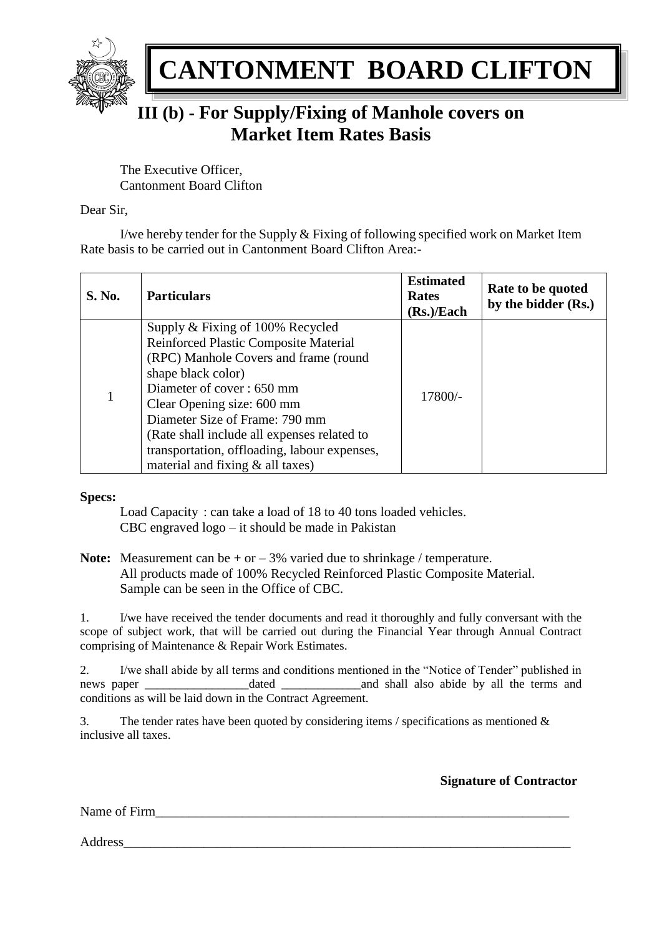

# **III (b) - For Supply/Fixing of Manhole covers on Market Item Rates Basis**

The Executive Officer, Cantonment Board Clifton

### Dear Sir,

I/we hereby tender for the Supply & Fixing of following specified work on Market Item Rate basis to be carried out in Cantonment Board Clifton Area:-

| <b>S. No.</b> | <b>Particulars</b>                                                                                                                                                                                                                                                                                                                                                       | <b>Estimated</b><br><b>Rates</b><br>(Rs.)/Each | Rate to be quoted<br>by the bidder (Rs.) |
|---------------|--------------------------------------------------------------------------------------------------------------------------------------------------------------------------------------------------------------------------------------------------------------------------------------------------------------------------------------------------------------------------|------------------------------------------------|------------------------------------------|
| 1             | Supply & Fixing of 100% Recycled<br>Reinforced Plastic Composite Material<br>(RPC) Manhole Covers and frame (round<br>shape black color)<br>Diameter of cover: 650 mm<br>Clear Opening size: 600 mm<br>Diameter Size of Frame: 790 mm<br>(Rate shall include all expenses related to<br>transportation, offloading, labour expenses,<br>material and fixing & all taxes) | 17800/-                                        |                                          |

### **Specs:**

Load Capacity : can take a load of 18 to 40 tons loaded vehicles. CBC engraved logo – it should be made in Pakistan

**Note:** Measurement can be  $+$  or  $-$  3% varied due to shrinkage / temperature. All products made of 100% Recycled Reinforced Plastic Composite Material. Sample can be seen in the Office of CBC.

1. I/we have received the tender documents and read it thoroughly and fully conversant with the scope of subject work, that will be carried out during the Financial Year through Annual Contract comprising of Maintenance & Repair Work Estimates.

2. I/we shall abide by all terms and conditions mentioned in the "Notice of Tender" published in news paper \_\_\_\_\_\_\_\_\_\_\_\_\_\_\_\_\_dated \_\_\_\_\_\_\_\_\_\_\_\_\_and shall also abide by all the terms and conditions as will be laid down in the Contract Agreement.

3. The tender rates have been quoted by considering items / specifications as mentioned  $\&$ inclusive all taxes.

**Signature of Contractor**

Name of Firm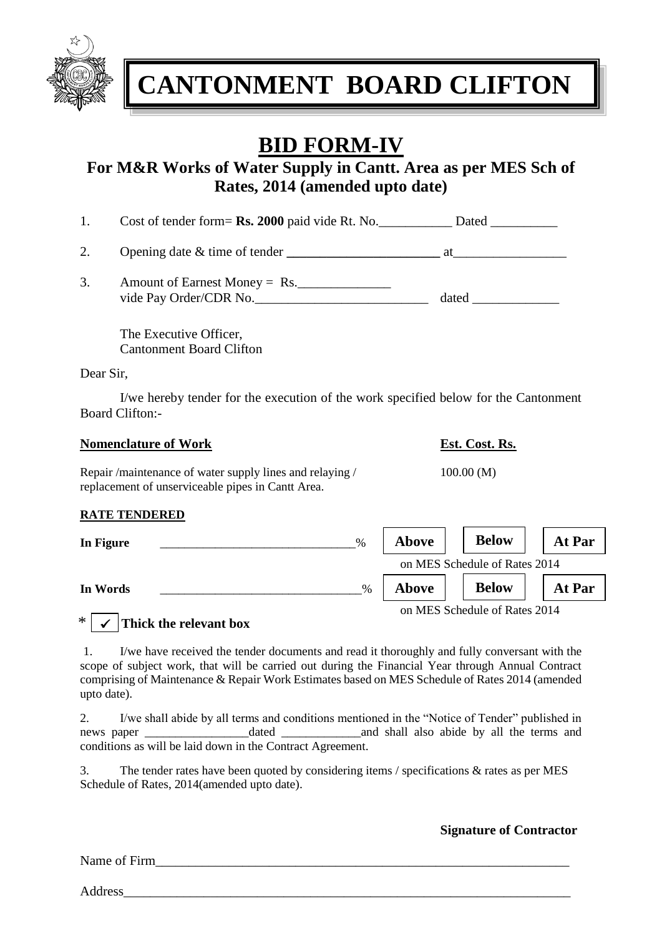

# **BID FORM-IV**

## **For M&R Works of Water Supply in Cantt. Area as per MES Sch of Rates, 2014 (amended upto date)**

| Cost of tender form= <b>Rs. 2000</b> paid vide Rt. No.<br>Dated |  |
|-----------------------------------------------------------------|--|
|-----------------------------------------------------------------|--|

2. Opening date & time of tender **\_\_\_\_\_\_\_\_\_\_\_\_\_\_\_\_\_\_\_\_\_\_\_** at\_\_\_\_\_\_\_\_\_\_\_\_\_\_\_\_\_

3. Amount of Earnest Money = Rs. vide Pay Order/CDR No.\_\_\_\_\_\_\_\_\_\_\_\_\_\_\_\_\_\_\_\_\_\_\_\_\_\_ dated \_\_\_\_\_\_\_\_\_\_\_\_\_

The Executive Officer, Cantonment Board Clifton

replacement of unserviceable pipes in Cantt Area.

Dear Sir,

I/we hereby tender for the execution of the work specified below for the Cantonment Board Clifton:-

| <b>Nomenclature of Work</b>                            | Est. Cost. Rs. |
|--------------------------------------------------------|----------------|
| Repair/maintenance of water supply lines and relaying/ | 100.00(M)      |

## **RATE TENDERED**

| In Figure | $\%$ | <b>Above</b> | <b>Below</b>                  | At Par |
|-----------|------|--------------|-------------------------------|--------|
|           |      |              | on MES Schedule of Rates 2014 |        |
| In Words  | $\%$ | <b>Above</b> | <b>Below</b>                  | At Par |
|           |      |              | on MES Schedule of Rates 2014 |        |

## \* **Thick the relevant box**

1. I/we have received the tender documents and read it thoroughly and fully conversant with the scope of subject work, that will be carried out during the Financial Year through Annual Contract comprising of Maintenance & Repair Work Estimates based on MES Schedule of Rates 2014 (amended upto date).

2. I/we shall abide by all terms and conditions mentioned in the "Notice of Tender" published in news paper dated and shall also abide by all the terms and conditions as will be laid down in the Contract Agreement.

3. The tender rates have been quoted by considering items / specifications & rates as per MES Schedule of Rates, 2014(amended upto date).

### **Signature of Contractor**

Name of Firm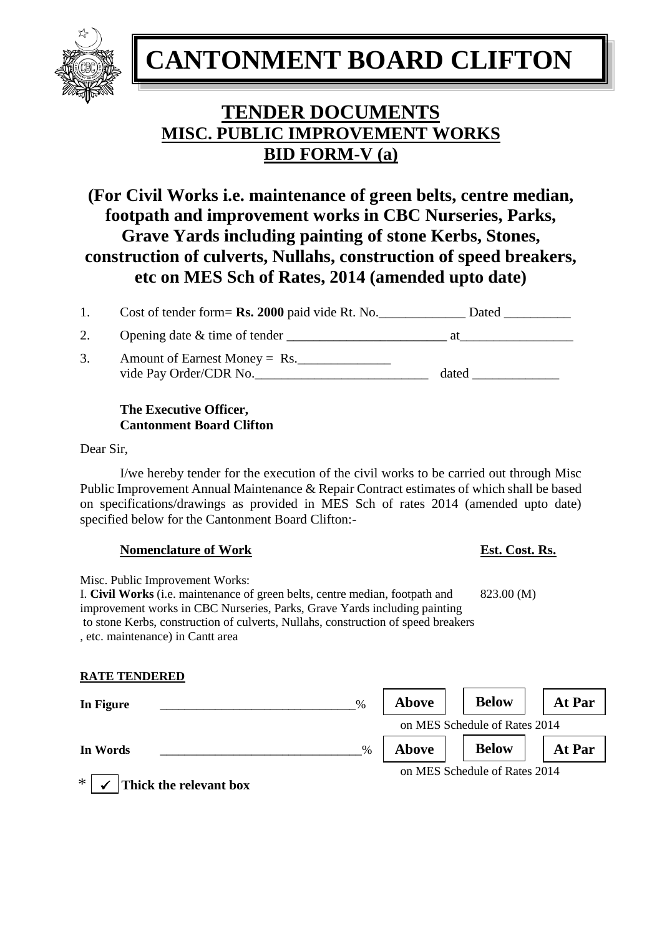## **TENDER DOCUMENTS MISC. PUBLIC IMPROVEMENT WORKS BID FORM-V (a)**

**(For Civil Works i.e. maintenance of green belts, centre median, footpath and improvement works in CBC Nurseries, Parks, Grave Yards including painting of stone Kerbs, Stones, construction of culverts, Nullahs, construction of speed breakers, etc on MES Sch of Rates, 2014 (amended upto date)**

| 1. | Cost of tender form= $\mathbf{Rs.}$ 2000 paid vide Rt. No. | Dated |
|----|------------------------------------------------------------|-------|
| 2. | Opening date $&$ time of tender                            | at    |
| 3. | Amount of Earnest Money $=$ Rs.<br>vide Pay Order/CDR No.  | dated |

### **The Executive Officer, Cantonment Board Clifton**

Dear Sir,

I/we hereby tender for the execution of the civil works to be carried out through Misc Public Improvement Annual Maintenance & Repair Contract estimates of which shall be based on specifications/drawings as provided in MES Sch of rates 2014 (amended upto date) specified below for the Cantonment Board Clifton:-

### **Nomenclature of Work Est. Cost. Rs.**

Misc. Public Improvement Works: I. **Civil Works** (i.e. maintenance of green belts, centre median, footpath and 823.00 (M) improvement works in CBC Nurseries, Parks, Grave Yards including painting to stone Kerbs, construction of culverts, Nullahs, construction of speed breakers , etc. maintenance) in Cantt area

## **RATE TENDERED**

| %<br>In Figure                   | <b>Above</b> | <b>Below</b>                  | At Par |
|----------------------------------|--------------|-------------------------------|--------|
|                                  |              | on MES Schedule of Rates 2014 |        |
| In Words<br>$\%$                 | Above        | <b>Below</b>                  | At Par |
| $\ast$<br>Thick the relevant box |              | on MES Schedule of Rates 2014 |        |

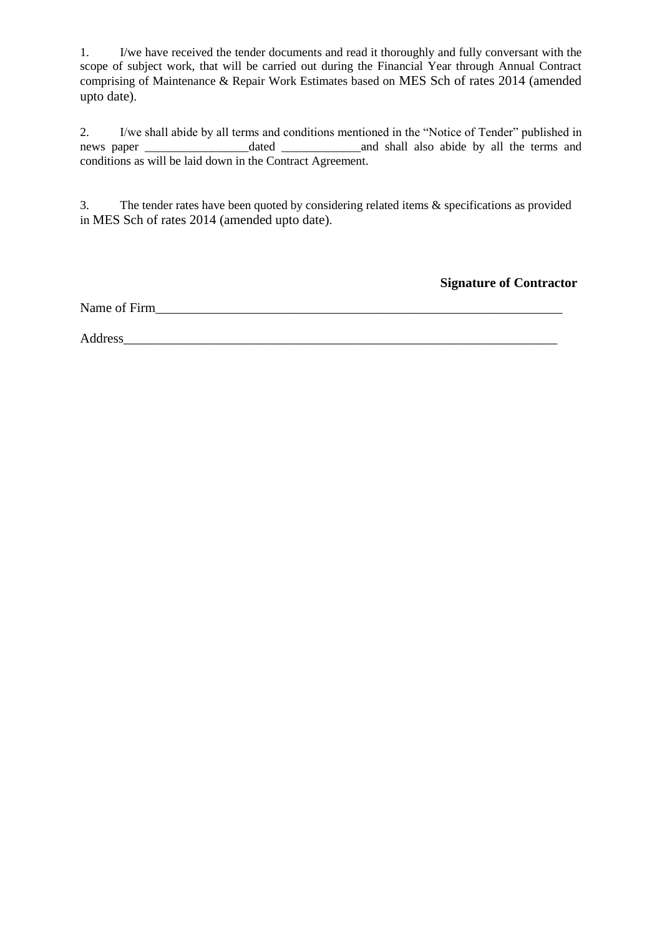1. I/we have received the tender documents and read it thoroughly and fully conversant with the scope of subject work, that will be carried out during the Financial Year through Annual Contract comprising of Maintenance & Repair Work Estimates based on MES Sch of rates 2014 (amended upto date).

2. I/we shall abide by all terms and conditions mentioned in the "Notice of Tender" published in news paper \_\_\_\_\_\_\_\_\_\_\_\_\_\_\_\_\_dated \_\_\_\_\_\_\_\_\_\_\_\_\_and shall also abide by all the terms and conditions as will be laid down in the Contract Agreement.

3. The tender rates have been quoted by considering related items & specifications as provided in MES Sch of rates 2014 (amended upto date).

**Signature of Contractor**

Name of Firm

Address\_\_\_\_\_\_\_\_\_\_\_\_\_\_\_\_\_\_\_\_\_\_\_\_\_\_\_\_\_\_\_\_\_\_\_\_\_\_\_\_\_\_\_\_\_\_\_\_\_\_\_\_\_\_\_\_\_\_\_\_\_\_\_\_\_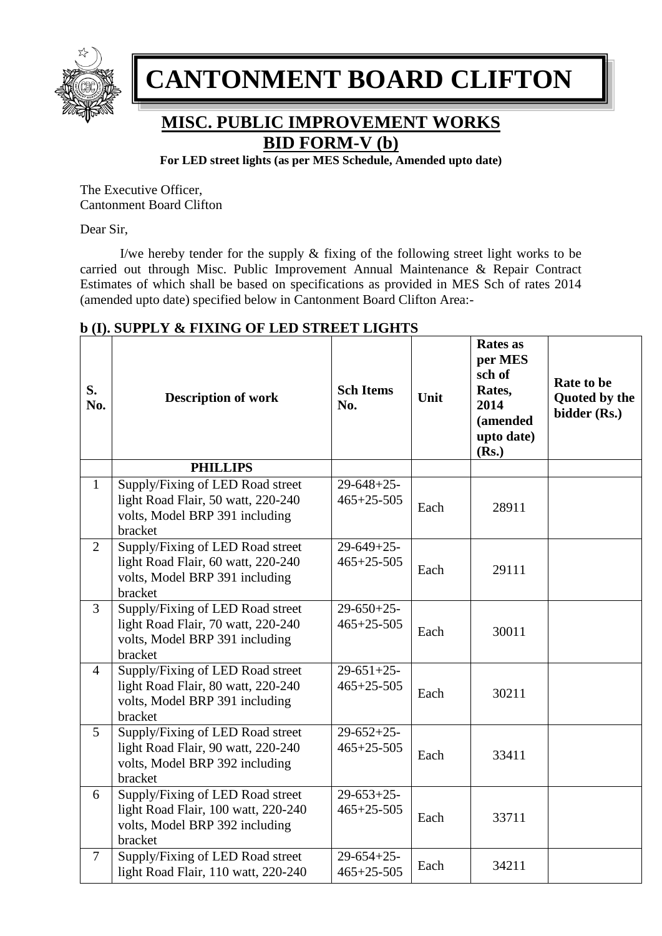

## **MISC. PUBLIC IMPROVEMENT WORKS BID FORM-V (b)**

**For LED street lights (as per MES Schedule, Amended upto date)**

The Executive Officer, Cantonment Board Clifton

Dear Sir,

I/we hereby tender for the supply & fixing of the following street light works to be carried out through Misc. Public Improvement Annual Maintenance & Repair Contract Estimates of which shall be based on specifications as provided in MES Sch of rates 2014 (amended upto date) specified below in Cantonment Board Clifton Area:-

| S.<br>No.      | D (1). SUPPLY & FIXING OF LED SIREET LIGHTS<br><b>Description of work</b>                                            | <b>Sch Items</b><br>No.                          | Unit | <b>Rates</b> as<br>per MES<br>sch of<br>Rates,<br>2014<br>(amended<br>upto date)<br>(Rs.) | Rate to be<br>Quoted by the<br>bidder (Rs.) |
|----------------|----------------------------------------------------------------------------------------------------------------------|--------------------------------------------------|------|-------------------------------------------------------------------------------------------|---------------------------------------------|
|                | <b>PHILLIPS</b>                                                                                                      |                                                  |      |                                                                                           |                                             |
| $\mathbf{1}$   | Supply/Fixing of LED Road street<br>light Road Flair, 50 watt, 220-240<br>volts, Model BRP 391 including<br>bracket  | $29-648+25-$<br>$465 + 25 - 505$                 | Each | 28911                                                                                     |                                             |
| $\overline{2}$ | Supply/Fixing of LED Road street<br>light Road Flair, 60 watt, 220-240<br>volts, Model BRP 391 including<br>bracket  | $\overline{2}9 - 649 + 25$ -<br>$465 + 25 - 505$ | Each | 29111                                                                                     |                                             |
| $\overline{3}$ | Supply/Fixing of LED Road street<br>light Road Flair, 70 watt, 220-240<br>volts, Model BRP 391 including<br>bracket  | $29-650+25-$<br>$465 + 25 - 505$                 | Each | 30011                                                                                     |                                             |
| $\overline{4}$ | Supply/Fixing of LED Road street<br>light Road Flair, 80 watt, 220-240<br>volts, Model BRP 391 including<br>bracket  | $29 - 651 + 25$<br>$465 + 25 - 505$              | Each | 30211                                                                                     |                                             |
| $\overline{5}$ | Supply/Fixing of LED Road street<br>light Road Flair, 90 watt, 220-240<br>volts, Model BRP 392 including<br>bracket  | $29-652+25-$<br>$465 + 25 - 505$                 | Each | 33411                                                                                     |                                             |
| 6              | Supply/Fixing of LED Road street<br>light Road Flair, 100 watt, 220-240<br>volts, Model BRP 392 including<br>bracket | $29-653+25-$<br>$465 + 25 - 505$                 | Each | 33711                                                                                     |                                             |
| $\tau$         | Supply/Fixing of LED Road street<br>light Road Flair, 110 watt, 220-240                                              | $29-654+25-$<br>$465 + 25 - 505$                 | Each | 34211                                                                                     |                                             |

## **b (I). SUPPLY & FIXING OF LED STREET LIGHTS**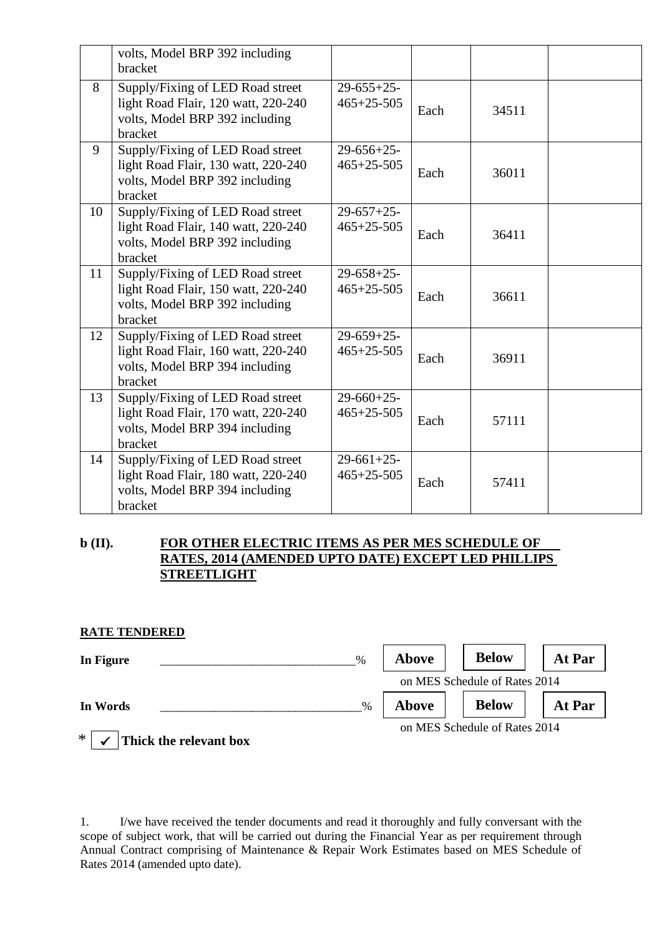|    | volts, Model BRP 392 including<br>bracket                                                                            |                                     |      |       |  |
|----|----------------------------------------------------------------------------------------------------------------------|-------------------------------------|------|-------|--|
| 8  | Supply/Fixing of LED Road street<br>light Road Flair, 120 watt, 220-240<br>volts, Model BRP 392 including<br>bracket | $29-655+25-$<br>$465 + 25 - 505$    | Each | 34511 |  |
| 9  | Supply/Fixing of LED Road street<br>light Road Flair, 130 watt, 220-240<br>volts, Model BRP 392 including<br>bracket | $29-656+25-$<br>$465 + 25 - 505$    | Each | 36011 |  |
| 10 | Supply/Fixing of LED Road street<br>light Road Flair, 140 watt, 220-240<br>volts, Model BRP 392 including<br>bracket | $29-657+25-$<br>$465 + 25 - 505$    | Each | 36411 |  |
| 11 | Supply/Fixing of LED Road street<br>light Road Flair, 150 watt, 220-240<br>volts, Model BRP 392 including<br>bracket | $29 - 658 + 25$<br>$465 + 25 - 505$ | Each | 36611 |  |
| 12 | Supply/Fixing of LED Road street<br>light Road Flair, 160 watt, 220-240<br>volts, Model BRP 394 including<br>bracket | $29-659+25-$<br>$465+25-505$        | Each | 36911 |  |
| 13 | Supply/Fixing of LED Road street<br>light Road Flair, 170 watt, 220-240<br>volts, Model BRP 394 including<br>bracket | $29-660+25-$<br>$465 + 25 - 505$    | Each | 57111 |  |
| 14 | Supply/Fixing of LED Road street<br>light Road Flair, 180 watt, 220-240<br>volts, Model BRP 394 including<br>bracket | $29-661+25-$<br>$465 + 25 - 505$    | Each | 57411 |  |

#### **b (II). FOR OTHER ELECTRIC ITEMS AS PER MES SCHEDULE OF RATES, 2014 (AMENDED UPTO DATE) EXCEPT LED PHILLIPS STREETLIGHT**

#### **RATE TENDERED**

| In Figure<br>$\%$                | Above        | <b>Below</b>                  | At Par |
|----------------------------------|--------------|-------------------------------|--------|
|                                  |              | on MES Schedule of Rates 2014 |        |
| $\frac{0}{0}$<br>In Words        | <b>Above</b> | <b>Below</b>                  | At Par |
| $\ast$<br>Thick the relevant box |              | on MES Schedule of Rates 2014 |        |

1. I/we have received the tender documents and read it thoroughly and fully conversant with the scope of subject work, that will be carried out during the Financial Year as per requirement through Annual Contract comprising of Maintenance & Repair Work Estimates based on MES Schedule of Rates 2014 (amended upto date).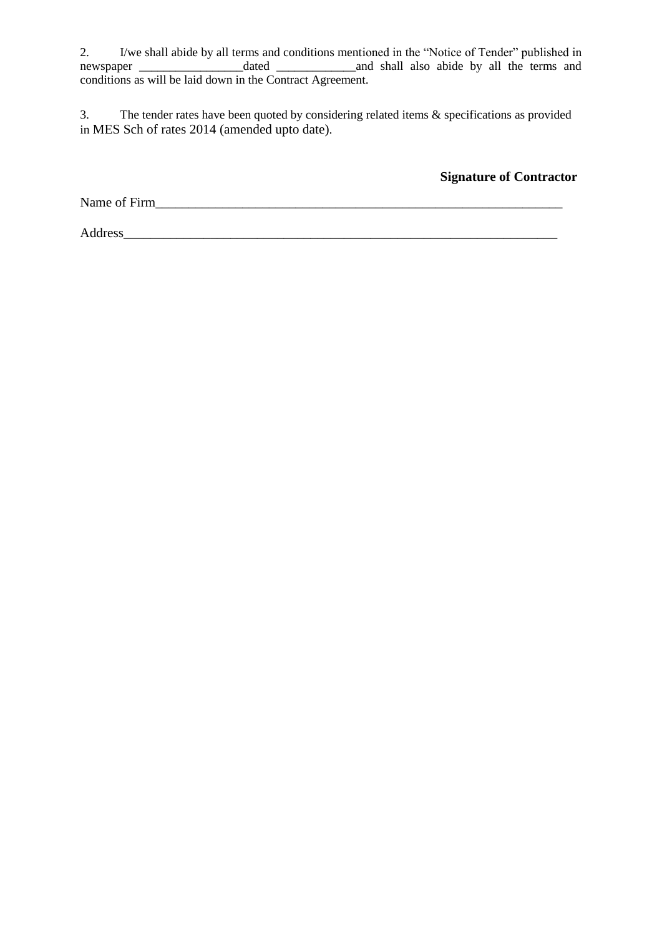2. I/we shall abide by all terms and conditions mentioned in the "Notice of Tender" published in newspaper \_\_\_\_\_\_\_\_\_\_\_\_\_\_\_\_\_dated \_\_\_\_\_\_\_\_\_\_\_\_\_and shall also abide by all the terms and conditions as will be laid down in the Contract Agreement.

3. The tender rates have been quoted by considering related items & specifications as provided in MES Sch of rates 2014 (amended upto date).

**Signature of Contractor**

Name of Firm

Address\_\_\_\_\_\_\_\_\_\_\_\_\_\_\_\_\_\_\_\_\_\_\_\_\_\_\_\_\_\_\_\_\_\_\_\_\_\_\_\_\_\_\_\_\_\_\_\_\_\_\_\_\_\_\_\_\_\_\_\_\_\_\_\_\_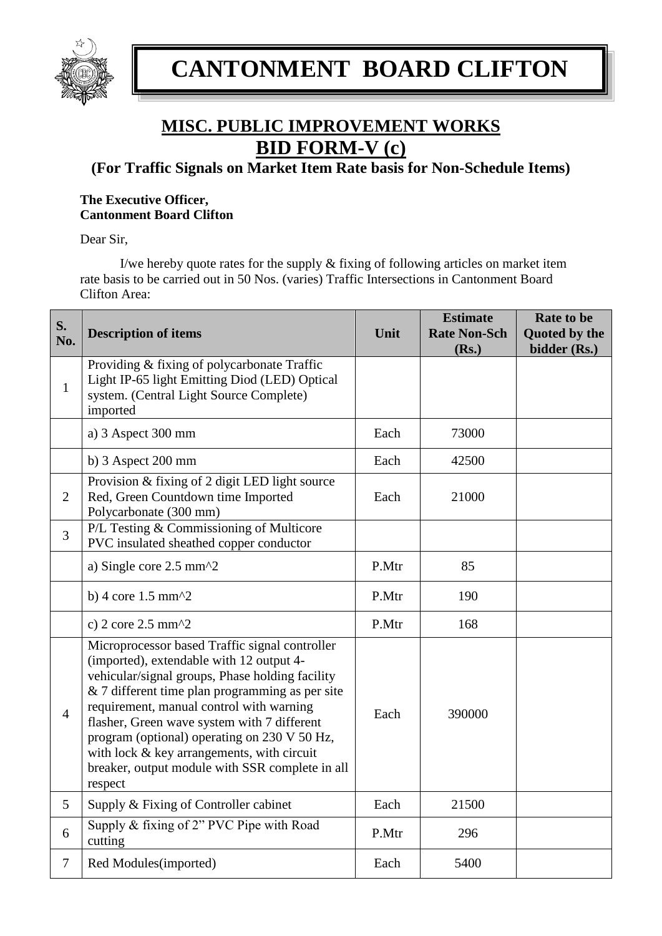

# **MISC. PUBLIC IMPROVEMENT WORKS BID FORM-V (c)**

**(For Traffic Signals on Market Item Rate basis for Non-Schedule Items)**

### **The Executive Officer, Cantonment Board Clifton**

Dear Sir,

I/we hereby quote rates for the supply & fixing of following articles on market item rate basis to be carried out in 50 Nos. (varies) Traffic Intersections in Cantonment Board Clifton Area:

| S.<br>No.      | <b>Description of items</b>                                                                                                                                                                                                                                                                                                                                                                                                                             | Unit  | <b>Estimate</b><br><b>Rate Non-Sch</b><br>(Rs.) | Rate to be<br>Quoted by the<br>bidder (Rs.) |
|----------------|---------------------------------------------------------------------------------------------------------------------------------------------------------------------------------------------------------------------------------------------------------------------------------------------------------------------------------------------------------------------------------------------------------------------------------------------------------|-------|-------------------------------------------------|---------------------------------------------|
| $\mathbf{1}$   | Providing & fixing of polycarbonate Traffic<br>Light IP-65 light Emitting Diod (LED) Optical<br>system. (Central Light Source Complete)<br>imported                                                                                                                                                                                                                                                                                                     |       |                                                 |                                             |
|                | a) 3 Aspect 300 mm                                                                                                                                                                                                                                                                                                                                                                                                                                      | Each  | 73000                                           |                                             |
|                | b) $3$ Aspect $200$ mm                                                                                                                                                                                                                                                                                                                                                                                                                                  | Each  | 42500                                           |                                             |
| 2              | Provision & fixing of 2 digit LED light source<br>Red, Green Countdown time Imported<br>Polycarbonate (300 mm)                                                                                                                                                                                                                                                                                                                                          | Each  | 21000                                           |                                             |
| 3              | P/L Testing & Commissioning of Multicore<br>PVC insulated sheathed copper conductor                                                                                                                                                                                                                                                                                                                                                                     |       |                                                 |                                             |
|                | a) Single core $2.5 \text{ mm}^2$                                                                                                                                                                                                                                                                                                                                                                                                                       | P.Mtr | 85                                              |                                             |
|                | b) 4 core $1.5$ mm $^2$                                                                                                                                                                                                                                                                                                                                                                                                                                 | P.Mtr | 190                                             |                                             |
|                | c) $2 \text{ core } 2.5 \text{ mm}^2$                                                                                                                                                                                                                                                                                                                                                                                                                   | P.Mtr | 168                                             |                                             |
| $\overline{4}$ | Microprocessor based Traffic signal controller<br>(imported), extendable with 12 output 4-<br>vehicular/signal groups, Phase holding facility<br>& 7 different time plan programming as per site<br>requirement, manual control with warning<br>flasher, Green wave system with 7 different<br>program (optional) operating on 230 V 50 Hz,<br>with lock & key arrangements, with circuit<br>breaker, output module with SSR complete in all<br>respect | Each  | 390000                                          |                                             |
| 5              | Supply & Fixing of Controller cabinet                                                                                                                                                                                                                                                                                                                                                                                                                   | Each  | 21500                                           |                                             |
| 6              | Supply & fixing of 2" PVC Pipe with Road<br>cutting                                                                                                                                                                                                                                                                                                                                                                                                     | P.Mtr | 296                                             |                                             |
| $\overline{7}$ | Red Modules(imported)                                                                                                                                                                                                                                                                                                                                                                                                                                   | Each  | 5400                                            |                                             |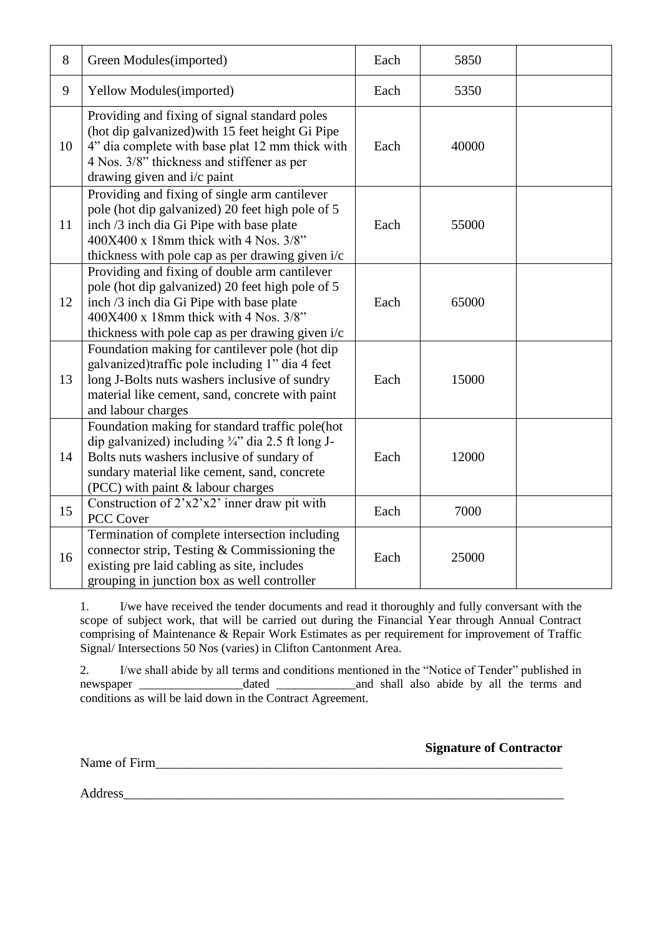| 8  | Green Modules(imported)                                                                                                                                                                                                                               | Each | 5850  |  |
|----|-------------------------------------------------------------------------------------------------------------------------------------------------------------------------------------------------------------------------------------------------------|------|-------|--|
| 9  | Yellow Modules(imported)                                                                                                                                                                                                                              | Each | 5350  |  |
| 10 | Providing and fixing of signal standard poles<br>(hot dip galvanized) with 15 feet height Gi Pipe<br>4" dia complete with base plat 12 mm thick with<br>4 Nos. 3/8" thickness and stiffener as per<br>drawing given and i/c paint                     | Each | 40000 |  |
| 11 | Providing and fixing of single arm cantilever<br>pole (hot dip galvanized) 20 feet high pole of 5<br>inch /3 inch dia Gi Pipe with base plate<br>400X400 x 18mm thick with 4 Nos. 3/8"<br>thickness with pole cap as per drawing given i/c            | Each | 55000 |  |
| 12 | Providing and fixing of double arm cantilever<br>pole (hot dip galvanized) 20 feet high pole of 5<br>inch /3 inch dia Gi Pipe with base plate<br>$400X400 \times 18$ mm thick with 4 Nos. $3/8$ "<br>thickness with pole cap as per drawing given i/c | Each | 65000 |  |
| 13 | Foundation making for cantilever pole (hot dip<br>galvanized)traffic pole including 1" dia 4 feet<br>long J-Bolts nuts washers inclusive of sundry<br>material like cement, sand, concrete with paint<br>and labour charges                           | Each | 15000 |  |
| 14 | Foundation making for standard traffic pole(hot<br>dip galvanized) including $\frac{3}{4}$ " dia 2.5 ft long J-<br>Bolts nuts washers inclusive of sundary of<br>sundary material like cement, sand, concrete<br>(PCC) with paint & labour charges    | Each | 12000 |  |
| 15 | Construction of 2'x2'x2' inner draw pit with<br><b>PCC Cover</b>                                                                                                                                                                                      | Each | 7000  |  |
| 16 | Termination of complete intersection including<br>connector strip, Testing $&$ Commissioning the<br>existing pre laid cabling as site, includes<br>grouping in junction box as well controller                                                        | Each | 25000 |  |

1. I/we have received the tender documents and read it thoroughly and fully conversant with the scope of subject work, that will be carried out during the Financial Year through Annual Contract comprising of Maintenance & Repair Work Estimates as per requirement for improvement of Traffic Signal/ Intersections 50 Nos (varies) in Clifton Cantonment Area.

2. I/we shall abide by all terms and conditions mentioned in the "Notice of Tender" published in newspaper \_\_\_\_\_\_\_\_\_\_\_\_\_\_\_\_\_dated \_\_\_\_\_\_\_\_\_\_\_\_\_and shall also abide by all the terms and conditions as will be laid down in the Contract Agreement.

**Signature of Contractor**

Name of Firm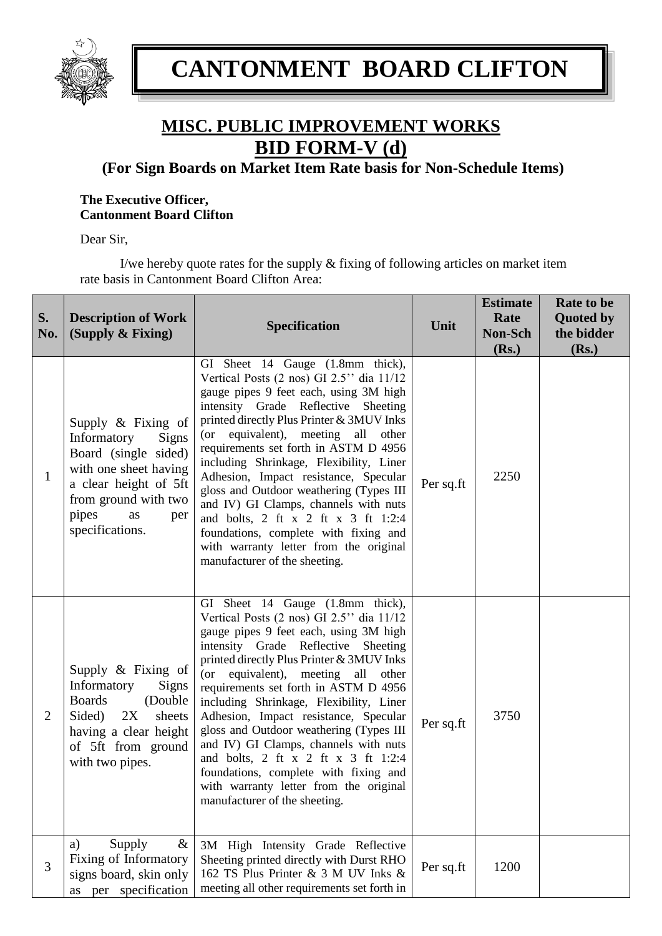

# **MISC. PUBLIC IMPROVEMENT WORKS BID FORM-V (d)**

**(For Sign Boards on Market Item Rate basis for Non-Schedule Items)**

### **The Executive Officer, Cantonment Board Clifton**

Dear Sir,

I/we hereby quote rates for the supply & fixing of following articles on market item rate basis in Cantonment Board Clifton Area:

| S.<br>No.      | <b>Description of Work</b><br>(Supply & Fixing)                                                                                                                                                 | <b>Specification</b>                                                                                                                                                                                                                                                                                                                                                                                                                                                                                                                                                                                                                | Unit      | <b>Estimate</b><br>Rate<br>Non-Sch<br>(Rs.) | Rate to be<br><b>Quoted by</b><br>the bidder<br>(Rs.) |
|----------------|-------------------------------------------------------------------------------------------------------------------------------------------------------------------------------------------------|-------------------------------------------------------------------------------------------------------------------------------------------------------------------------------------------------------------------------------------------------------------------------------------------------------------------------------------------------------------------------------------------------------------------------------------------------------------------------------------------------------------------------------------------------------------------------------------------------------------------------------------|-----------|---------------------------------------------|-------------------------------------------------------|
| $\mathbf{1}$   | Supply $\&$ Fixing of<br>Informatory<br><b>Signs</b><br>Board (single sided)<br>with one sheet having<br>a clear height of 5ft<br>from ground with two<br>pipes<br>as<br>per<br>specifications. | GI Sheet 14 Gauge (1.8mm thick),<br>Vertical Posts (2 nos) GI 2.5" dia 11/12<br>gauge pipes 9 feet each, using 3M high<br>intensity Grade Reflective Sheeting<br>printed directly Plus Printer & 3MUV Inks<br>(or equivalent), meeting<br>all other<br>requirements set forth in ASTM D 4956<br>including Shrinkage, Flexibility, Liner<br>Adhesion, Impact resistance, Specular<br>gloss and Outdoor weathering (Types III<br>and IV) GI Clamps, channels with nuts<br>and bolts, 2 ft $x$ 2 ft $x$ 3 ft 1:2:4<br>foundations, complete with fixing and<br>with warranty letter from the original<br>manufacturer of the sheeting. | Per sq.ft | 2250                                        |                                                       |
| $\overline{2}$ | Supply $\&$ Fixing of<br>Informatory<br><b>Signs</b><br><b>Boards</b><br>(Double<br>Sided)<br>2X<br>sheets<br>having a clear height<br>of 5ft from ground<br>with two pipes.                    | GI Sheet 14 Gauge (1.8mm thick),<br>Vertical Posts (2 nos) GI 2.5" dia 11/12<br>gauge pipes 9 feet each, using 3M high<br>intensity Grade Reflective Sheeting<br>printed directly Plus Printer & 3MUV Inks<br>(or equivalent), meeting<br>all<br>other<br>requirements set forth in ASTM D 4956<br>including Shrinkage, Flexibility, Liner<br>Adhesion, Impact resistance, Specular<br>gloss and Outdoor weathering (Types III<br>and IV) GI Clamps, channels with nuts<br>and bolts, 2 ft x 2 ft x 3 ft 1:2:4<br>foundations, complete with fixing and<br>with warranty letter from the original<br>manufacturer of the sheeting.  | Per sq.ft | 3750                                        |                                                       |
| 3              | Supply<br>$\&$<br>a)<br>Fixing of Informatory<br>signs board, skin only<br>specification<br>per<br>as                                                                                           | 3M High Intensity Grade Reflective<br>Sheeting printed directly with Durst RHO<br>162 TS Plus Printer & 3 M UV Inks &<br>meeting all other requirements set forth in                                                                                                                                                                                                                                                                                                                                                                                                                                                                | Per sq.ft | 1200                                        |                                                       |